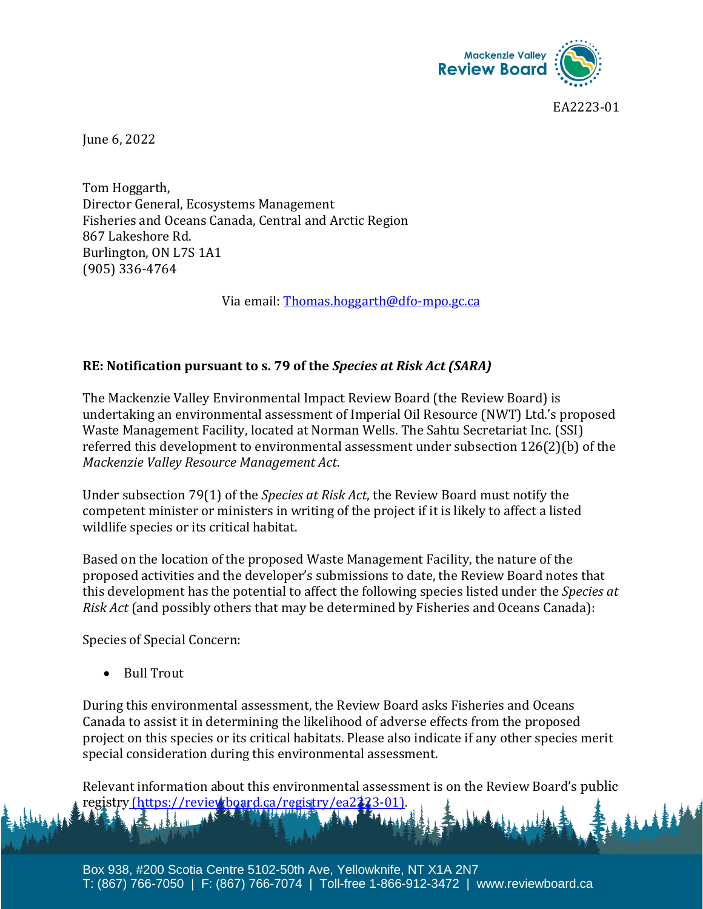

EA2223-01

June 6, 2022

Tom Hoggarth, Director General, Ecosystems Management Fisheries and Oceans Canada, Central and Arctic Region 867 Lakeshore Rd. Burlington, ON L7S 1A1 (905) 336-4764

Via email: [Thomas.hoggarth@dfo-mpo.gc.ca](mailto:Thomas.hoggarth@dfo-mpo.gc.ca)

## **RE: Notification pursuant to s. 79 of the** *Species at Risk Act (SARA)*

The Mackenzie Valley Environmental Impact Review Board (the Review Board) is undertaking an environmental assessment of Imperial Oil Resource (NWT) Ltd.'s proposed Waste Management Facility, located at Norman Wells. The Sahtu Secretariat Inc. (SSI) referred this development to environmental assessment under subsection 126(2)(b) of the *Mackenzie Valley Resource Management Act*.

Under subsection 79(1) of the *Species at Risk Act*, the Review Board must notify the competent minister or ministers in writing of the project if it is likely to affect a listed wildlife species or its critical habitat.

Based on the location of the proposed Waste Management Facility, the nature of the proposed activities and the developer's submissions to date, the Review Board notes that this development has the potential to affect the following species listed under the *Species at Risk Act* (and possibly others that may be determined by Fisheries and Oceans Canada):

Species of Special Concern:

• Bull Trout

During this environmental assessment, the Review Board asks Fisheries and Oceans Canada to assist it in determining the likelihood of adverse effects from the proposed project on this species or its critical habitats. Please also indicate if any other species merit special consideration during this environmental assessment.

Relevant information about this environmental assessment is on the Review Board's public registry (https://reviewboard.ca/registry/ea223-01).